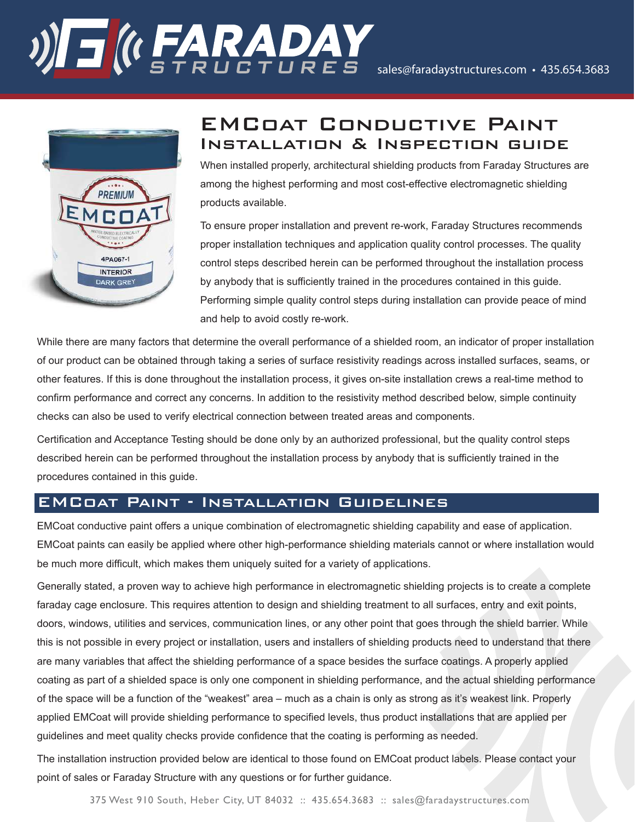# **RADAY**<br>**ROLL:** A ROLL: RES sales@faradaystructures.com • 435.654.3683



# EMCoat Conductive Paint Installation & Inspection guide

When installed properly, architectural shielding products from Faraday Structures are among the highest performing and most cost-effective electromagnetic shielding products available.

To ensure proper installation and prevent re-work, Faraday Structures recommends proper installation techniques and application quality control processes. The quality control steps described herein can be performed throughout the installation process by anybody that is sufficiently trained in the procedures contained in this guide. Performing simple quality control steps during installation can provide peace of mind and help to avoid costly re-work.

While there are many factors that determine the overall performance of a shielded room, an indicator of proper installation of our product can be obtained through taking a series of surface resistivity readings across installed surfaces, seams, or other features. If this is done throughout the installation process, it gives on-site installation crews a real-time method to confirm performance and correct any concerns. In addition to the resistivity method described below, simple continuity checks can also be used to verify electrical connection between treated areas and components.

Certification and Acceptance Testing should be done only by an authorized professional, but the quality control steps described herein can be performed throughout the installation process by anybody that is sufficiently trained in the procedures contained in this guide.

## EMCoat Paint - Installation Guidelines

EMCoat conductive paint offers a unique combination of electromagnetic shielding capability and ease of application. EMCoat paints can easily be applied where other high-performance shielding materials cannot or where installation would be much more difficult, which makes them uniquely suited for a variety of applications.

Generally stated, a proven way to achieve high performance in electromagnetic shielding projects is to create a complete faraday cage enclosure. This requires attention to design and shielding treatment to all surfaces, entry and exit points, doors, windows, utilities and services, communication lines, or any other point that goes through the shield barrier. While this is not possible in every project or installation, users and installers of shielding products need to understand that there are many variables that affect the shielding performance of a space besides the surface coatings. A properly applied coating as part of a shielded space is only one component in shielding performance, and the actual shielding performance of the space will be a function of the "weakest" area – much as a chain is only as strong as it's weakest link. Properly applied EMCoat will provide shielding performance to specified levels, thus product installations that are applied per guidelines and meet quality checks provide confidence that the coating is performing as needed.

The installation instruction provided below are identical to those found on EMCoat product labels. Please contact your point of sales or Faraday Structure with any questions or for further guidance.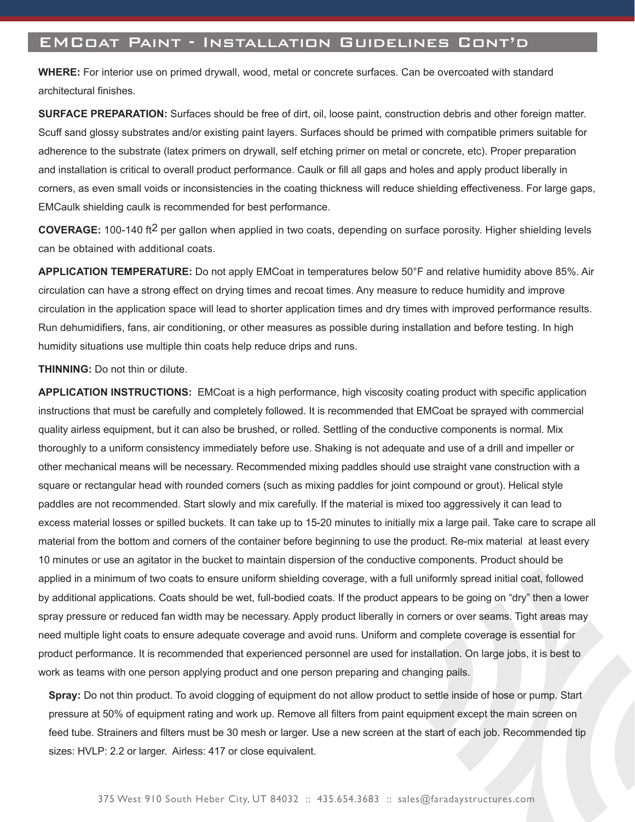### EMCoat Paint - Installation Guidelines Cont'd

**WHERE:** For interior use on primed drywall, wood, metal or concrete surfaces. Can be overcoated with standard architectural finishes.

**SURFACE PREPARATION:** Surfaces should be free of dirt, oil, loose paint, construction debris and other foreign matter. Scuff sand glossy substrates and/or existing paint layers. Surfaces should be primed with compatible primers suitable for adherence to the substrate (latex primers on drywall, self etching primer on metal or concrete, etc). Proper preparation and installation is critical to overall product performance. Caulk or fill all gaps and holes and apply product liberally in corners, as even small voids or inconsistencies in the coating thickness will reduce shielding effectiveness. For large gaps, EMCaulk shielding caulk is recommended for best performance.

**COVERAGE:** 100-140 ft2 per gallon when applied in two coats, depending on surface porosity. Higher shielding levels can be obtained with additional coats.

**APPLICATION TEMPERATURE:** Do not apply EMCoat in temperatures below 50°F and relative humidity above 85%. Air circulation can have a strong effect on drying times and recoat times. Any measure to reduce humidity and improve circulation in the application space will lead to shorter application times and dry times with improved performance results. Run dehumidifiers, fans, air conditioning, or other measures as possible during installation and before testing. In high humidity situations use multiple thin coats help reduce drips and runs.

**THINNING:** Do not thin or dilute.

**APPLICATION INSTRUCTIONS:** EMCoat is a high performance, high viscosity coating product with specific application instructions that must be carefully and completely followed. It is recommended that EMCoat be sprayed with commercial quality airless equipment, but it can also be brushed, or rolled. Settling of the conductive components is normal. Mix thoroughly to a uniform consistency immediately before use. Shaking is not adequate and use of a drill and impeller or other mechanical means will be necessary. Recommended mixing paddles should use straight vane construction with a square or rectangular head with rounded corners (such as mixing paddles for joint compound or grout). Helical style paddles are not recommended. Start slowly and mix carefully. If the material is mixed too aggressively it can lead to excess material losses or spilled buckets. It can take up to 15-20 minutes to initially mix a large pail. Take care to scrape all material from the bottom and corners of the container before beginning to use the product. Re-mix material at least every 10 minutes or use an agitator in the bucket to maintain dispersion of the conductive components. Product should be applied in a minimum of two coats to ensure uniform shielding coverage, with a full uniformly spread initial coat, followed by additional applications. Coats should be wet, full-bodied coats. If the product appears to be going on "dry" then a lower spray pressure or reduced fan width may be necessary. Apply product liberally in corners or over seams. Tight areas may need multiple light coats to ensure adequate coverage and avoid runs. Uniform and complete coverage is essential for product performance. It is recommended that experienced personnel are used for installation. On large jobs, it is best to work as teams with one person applying product and one person preparing and changing pails.

**Spray:** Do not thin product. To avoid clogging of equipment do not allow product to settle inside of hose or pump. Start pressure at 50% of equipment rating and work up. Remove all filters from paint equipment except the main screen on feed tube. Strainers and filters must be 30 mesh or larger. Use a new screen at the start of each job. Recommended tip sizes: HVLP: 2.2 or larger. Airless: 417 or close equivalent.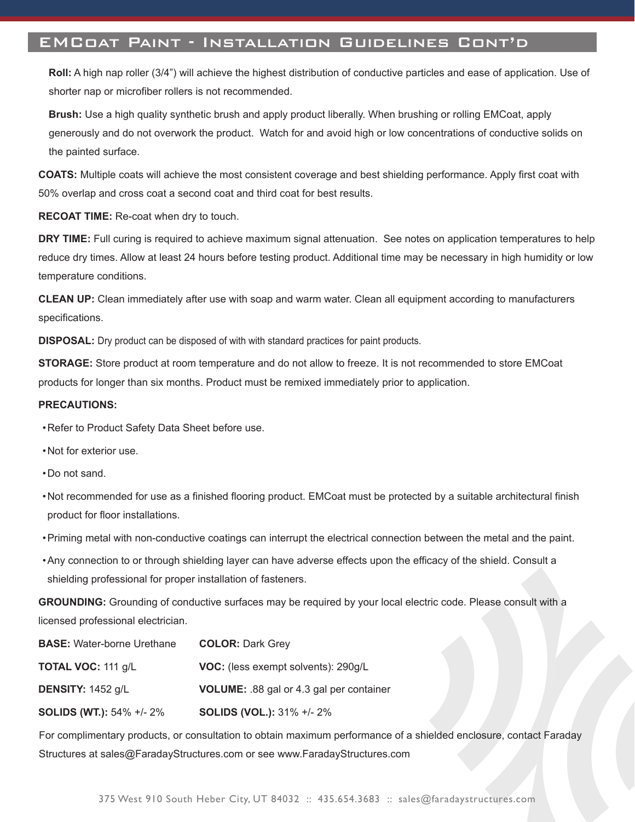#### EMCoat Paint - Installation Guidelines Cont'd

**Roll:** A high nap roller (3/4") will achieve the highest distribution of conductive particles and ease of application. Use of shorter nap or microfiber rollers is not recommended.

**Brush:** Use a high quality synthetic brush and apply product liberally. When brushing or rolling EMCoat, apply generously and do not overwork the product. Watch for and avoid high or low concentrations of conductive solids on the painted surface.

**COATS:** Multiple coats will achieve the most consistent coverage and best shielding performance. Apply first coat with 50% overlap and cross coat a second coat and third coat for best results.

**RECOAT TIME:** Re-coat when dry to touch.

**DRY TIME:** Full curing is required to achieve maximum signal attenuation. See notes on application temperatures to help reduce dry times. Allow at least 24 hours before testing product. Additional time may be necessary in high humidity or low temperature conditions.

**CLEAN UP:** Clean immediately after use with soap and warm water. Clean all equipment according to manufacturers specifications.

**DISPOSAL:** Dry product can be disposed of with with standard practices for paint products.

**STORAGE:** Store product at room temperature and do not allow to freeze. It is not recommended to store EMCoat products for longer than six months. Product must be remixed immediately prior to application.

#### **PRECAUTIONS:**

- Refer to Product Safety Data Sheet before use.
- Not for exterior use.
- Do not sand.
- Not recommended for use as a finished flooring product. EMCoat must be protected by a suitable architectural finish product for floor installations.
- Priming metal with non-conductive coatings can interrupt the electrical connection between the metal and the paint.
- Any connection to or through shielding layer can have adverse effects upon the efficacy of the shield. Consult a shielding professional for proper installation of fasteners.

**GROUNDING:** Grounding of conductive surfaces may be required by your local electric code. Please consult with a licensed professional electrician.

| <b>BASE:</b> Water-borne Urethane | <b>COLOR: Dark Grey</b>                         |
|-----------------------------------|-------------------------------------------------|
| <b>TOTAL VOC: 111 g/L</b>         | VOC: (less exempt solvents): 290g/L             |
| <b>DENSITY:</b> $1452$ g/L        | <b>VOLUME:</b> .88 gal or 4.3 gal per container |
| <b>SOLIDS (WT.): 54% +/- 2%</b>   | <b>SOLIDS (VOL.): 31% +/- 2%</b>                |

For complimentary products, or consultation to obtain maximum performance of a shielded enclosure, contact Faraday Structures at sales@FaradayStructures.com or see www.FaradayStructures.com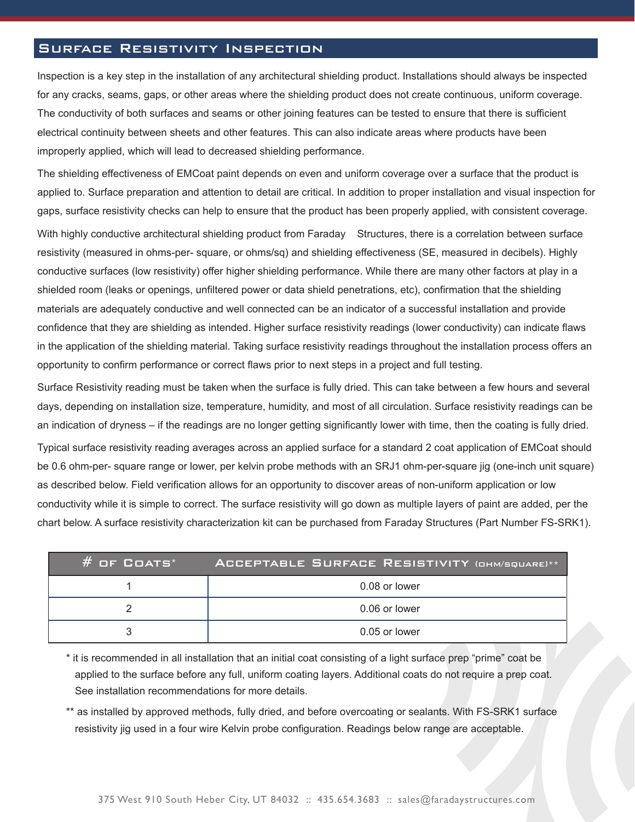#### Surface Resistivity Inspection

Inspection is a key step in the installation of any architectural shielding product. Installations should always be inspected for any cracks, seams, gaps, or other areas where the shielding product does not create continuous, uniform coverage. The conductivity of both surfaces and seams or other joining features can be tested to ensure that there is sufficient electrical continuity between sheets and other features. This can also indicate areas where products have been improperly applied, which will lead to decreased shielding performance.

The shielding effectiveness of EMCoat paint depends on even and uniform coverage over a surface that the product is applied to. Surface preparation and attention to detail are critical. In addition to proper installation and visual inspection for gaps, surface resistivity checks can help to ensure that the product has been properly applied, with consistent coverage.

With highly conductive architectural shielding product from Faraday Structures, there is a correlation between surface resistivity (measured in ohms-per- square, or ohms/sq) and shielding effectiveness (SE, measured in decibels). Highly conductive surfaces (low resistivity) offer higher shielding performance. While there are many other factors at play in a shielded room (leaks or openings, unfiltered power or data shield penetrations, etc), confirmation that the shielding materials are adequately conductive and well connected can be an indicator of a successful installation and provide confidence that they are shielding as intended. Higher surface resistivity readings (lower conductivity) can indicate flaws in the application of the shielding material. Taking surface resistivity readings throughout the installation process offers an opportunity to confirm performance or correct flaws prior to next steps in a project and full testing.

Surface Resistivity reading must be taken when the surface is fully dried. This can take between a few hours and several days, depending on installation size, temperature, humidity, and most of all circulation. Surface resistivity readings can be an indication of dryness – if the readings are no longer getting significantly lower with time, then the coating is fully dried.

Typical surface resistivity reading averages across an applied surface for a standard 2 coat application of EMCoat should be 0.6 ohm-per- square range or lower, per kelvin probe methods with an SRJ1 ohm-per-square jig (one-inch unit square) as described below. Field verification allows for an opportunity to discover areas of non-uniform application or low conductivity while it is simple to correct. The surface resistivity will go down as multiple layers of paint are added, per the chart below. A surface resistivity characterization kit can be purchased from Faraday Structures (Part Number FS-SRK1).

| $#$ of Coats* | ACCEPTABLE SURFACE RESISTIVITY (OHM/SQUARE)** |
|---------------|-----------------------------------------------|
|               | 0.08 or lower                                 |
|               | 0.06 or lower                                 |
|               | 0.05 or lower                                 |

\* it is recommended in all installation that an initial coat consisting of a light surface prep "prime" coat be applied to the surface before any full, uniform coating layers. Additional coats do not require a prep coat. See installation recommendations for more details.

\*\* as installed by approved methods, fully dried, and before overcoating or sealants. With FS-SRK1 surface resistivity jig used in a four wire Kelvin probe configuration. Readings below range are acceptable.